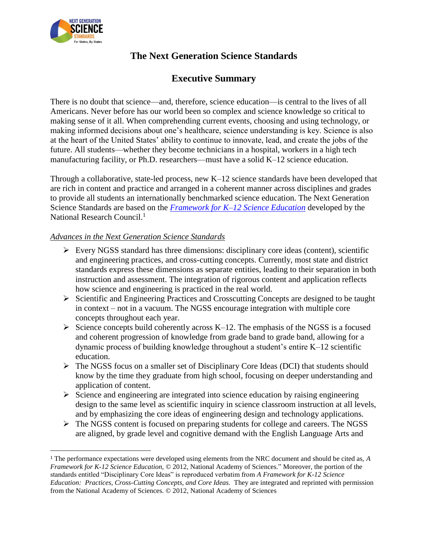

 $\overline{\phantom{a}}$ 

# **The Next Generation Science Standards**

# **Executive Summary**

There is no doubt that science—and, therefore, science education—is central to the lives of all Americans. Never before has our world been so complex and science knowledge so critical to making sense of it all. When comprehending current events, choosing and using technology, or making informed decisions about one's healthcare, science understanding is key. Science is also at the heart of the United States' ability to continue to innovate, lead, and create the jobs of the future. All students—whether they become technicians in a hospital, workers in a high tech manufacturing facility, or Ph.D. researchers—must have a solid K–12 science education.

Through a collaborative, state-led process, new K–12 science standards have been developed that are rich in content and practice and arranged in a coherent manner across disciplines and grades to provide all students an internationally benchmarked science education. The Next Generation Science Standards are based on the *[Framework for K–12 Science Education](http://www.nap.edu/catalog.php?record_id-13165)* developed by the National Research Council.<sup>1</sup>

## *Advances in the Next Generation Science Standards*

- $\triangleright$  Every NGSS standard has three dimensions: disciplinary core ideas (content), scientific and engineering practices, and cross-cutting concepts. Currently, most state and district standards express these dimensions as separate entities, leading to their separation in both instruction and assessment. The integration of rigorous content and application reflects how science and engineering is practiced in the real world.
- $\triangleright$  Scientific and Engineering Practices and Crosscutting Concepts are designed to be taught in context – not in a vacuum. The NGSS encourage integration with multiple core concepts throughout each year.
- $\triangleright$  Science concepts build coherently across K–12. The emphasis of the NGSS is a focused and coherent progression of knowledge from grade band to grade band, allowing for a dynamic process of building knowledge throughout a student's entire K–12 scientific education.
- The NGSS focus on a smaller set of Disciplinary Core Ideas (DCI) that students should know by the time they graduate from high school, focusing on deeper understanding and application of content.
- $\triangleright$  Science and engineering are integrated into science education by raising engineering design to the same level as scientific inquiry in science classroom instruction at all levels, and by emphasizing the core ideas of engineering design and technology applications.
- The NGSS content is focused on preparing students for college and careers. The NGSS are aligned, by grade level and cognitive demand with the English Language Arts and

<sup>1</sup> The performance expectations were developed using elements from the NRC document and should be cited as, *A Framework for K-12 Science Education, ©* 2012, National Academy of Sciences*.*" Moreover, the portion of the standards entitled "Disciplinary Core Ideas" is reproduced verbatim from *A Framework for K-12 Science Education: Practices, Cross-Cutting Concepts, and Core Ideas.* They are integrated and reprinted with permission from the National Academy of Sciences. © 2012, National Academy of Sciences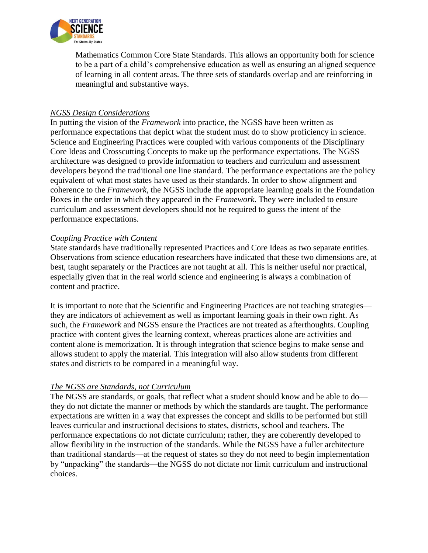

Mathematics Common Core State Standards. This allows an opportunity both for science to be a part of a child's comprehensive education as well as ensuring an aligned sequence of learning in all content areas. The three sets of standards overlap and are reinforcing in meaningful and substantive ways.

## *NGSS Design Considerations*

In putting the vision of the *Framework* into practice, the NGSS have been written as performance expectations that depict what the student must do to show proficiency in science. Science and Engineering Practices were coupled with various components of the Disciplinary Core Ideas and Crosscutting Concepts to make up the performance expectations. The NGSS architecture was designed to provide information to teachers and curriculum and assessment developers beyond the traditional one line standard. The performance expectations are the policy equivalent of what most states have used as their standards. In order to show alignment and coherence to the *Framework*, the NGSS include the appropriate learning goals in the Foundation Boxes in the order in which they appeared in the *Framework*. They were included to ensure curriculum and assessment developers should not be required to guess the intent of the performance expectations.

#### *Coupling Practice with Content*

State standards have traditionally represented Practices and Core Ideas as two separate entities. Observations from science education researchers have indicated that these two dimensions are, at best, taught separately or the Practices are not taught at all. This is neither useful nor practical, especially given that in the real world science and engineering is always a combination of content and practice.

It is important to note that the Scientific and Engineering Practices are not teaching strategies they are indicators of achievement as well as important learning goals in their own right. As such, the *Framework* and NGSS ensure the Practices are not treated as afterthoughts. Coupling practice with content gives the learning context, whereas practices alone are activities and content alone is memorization. It is through integration that science begins to make sense and allows student to apply the material. This integration will also allow students from different states and districts to be compared in a meaningful way.

## *The NGSS are Standards, not Curriculum*

The NGSS are standards, or goals, that reflect what a student should know and be able to do they do not dictate the manner or methods by which the standards are taught. The performance expectations are written in a way that expresses the concept and skills to be performed but still leaves curricular and instructional decisions to states, districts, school and teachers. The performance expectations do not dictate curriculum; rather, they are coherently developed to allow flexibility in the instruction of the standards. While the NGSS have a fuller architecture than traditional standards—at the request of states so they do not need to begin implementation by "unpacking" the standards—the NGSS do not dictate nor limit curriculum and instructional choices.